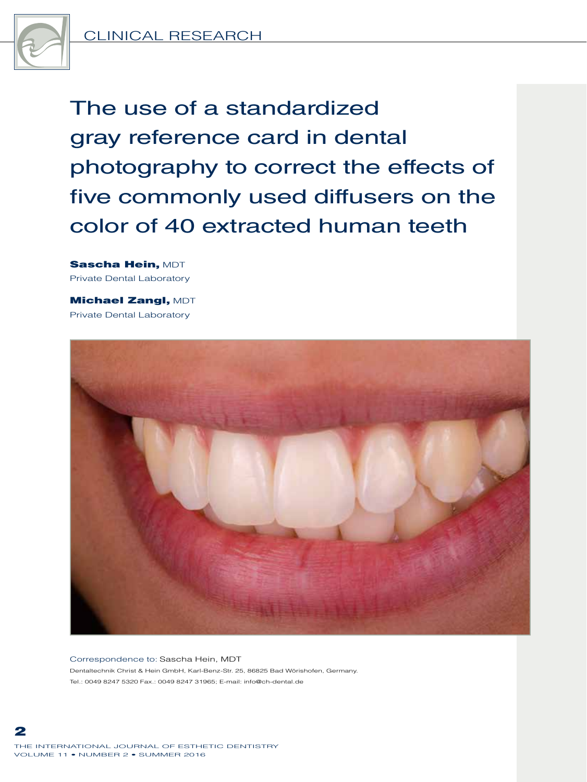

The use of a standardized gray reference card in dental photography to correct the effects of five commonly used diffusers on the color of 40 extracted human teeth

Sascha Hein, MDT Private Dental Laboratory

**Michael Zangl, MDT** Private Dental Laboratory



Correspondence to: Sascha Hein, MDT Dentaltechnik Christ & Hein GmbH, Karl-Benz-Str. 25, 86825 Bad Wörishofen, Germany. Tel.: 0049 8247 5320 Fax.: 0049 8247 31965; E-mail: info@ch-dental.de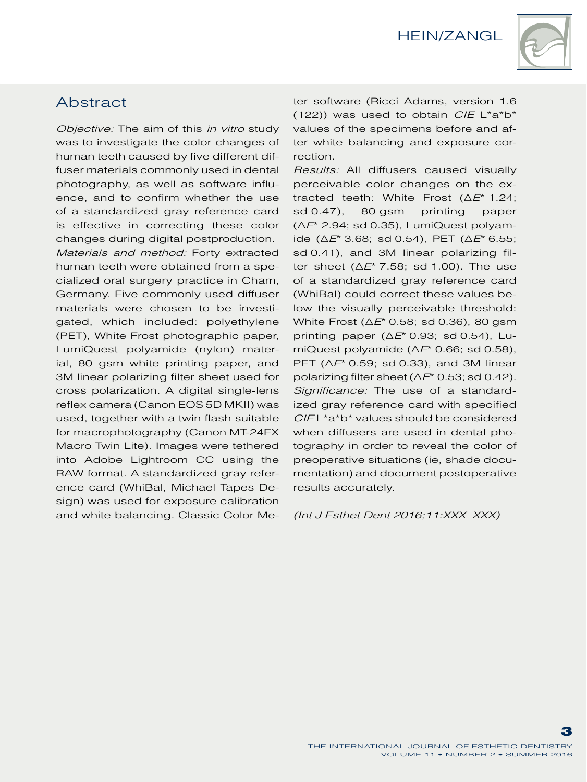

## **Abstract**

*Objective:* The aim of this *in vitro* study was to investigate the color changes of human teeth caused by five different diffuser materials commonly used in dental photography, as well as software influence, and to confirm whether the use of a standardized gray reference card is effective in correcting these color changes during digital postproduction.

*Materials and method:* Forty extracted human teeth were obtained from a specialized oral surgery practice in Cham, Germany. Five commonly used diffuser materials were chosen to be investigated, which included: polyethylene (PET), White Frost photographic paper, LumiQuest polyamide (nylon) material, 80 gsm white printing paper, and 3M linear polarizing filter sheet used for cross polarization. A digital single-lens reflex camera (Canon EOS 5D MKII) was used, together with a twin flash suitable for macrophotography (Canon MT-24EX Macro Twin Lite). Images were tethered into Adobe Lightroom CC using the RAW format. A standardized gray reference card (WhiBal, Michael Tapes Design) was used for exposure calibration and white balancing. Classic Color Me-

(122)) was used to obtain *CIE* L\*a\*b\* values of the specimens before and after white balancing and exposure correction.

ter software (Ricci Adams, version 1.6<br>
(122)) was used to botain *CIE* L<sup>\*a</sup><sup>2</sup><sup>b</sup><sup>2</sup><sup>b</sup><sup>2</sup> d<sup>\*</sup> d\*a<sup>1</sup><br>
values of the specimens before and af-<br>
ter white balancing and exposure corection.<br>
Results: All diffusers caused *Results:* All diffusers caused visually perceivable color changes on the extracted teeth: White Frost (∆*E*\* 1.24; sd 0.47), 80 gsm printing paper (∆*E*\* 2.94; sd 0.35), LumiQuest polyamide (∆*E*\* 3.68; sd 0.54), PET (∆*E*\* 6.55; sd 0.41), and 3M linear polarizing filter sheet (∆*E*\* 7.58; sd 1.00). The use of a standardized gray reference card (WhiBal) could correct these values below the visually perceivable threshold: White Frost (∆*E*\* 0.58; sd 0.36), 80 gsm printing paper (∆*E*\* 0.93; sd 0.54), LumiQuest polyamide (∆*E*\* 0.66; sd 0.58), PET (∆*E*\* 0.59; sd 0.33), and 3M linear polarizing filter sheet (∆*E*\* 0.53; sd 0.42). *Significance:* The use of a standardized gray reference card with specified *CIE* L\*a\*b\* values should be considered when diffusers are used in dental photography in order to reveal the color of preoperative situations (ie, shade documentation) and document postoperative results accurately.

*(Int J Esthet Dent 2016;11:XXX–XXX)*

3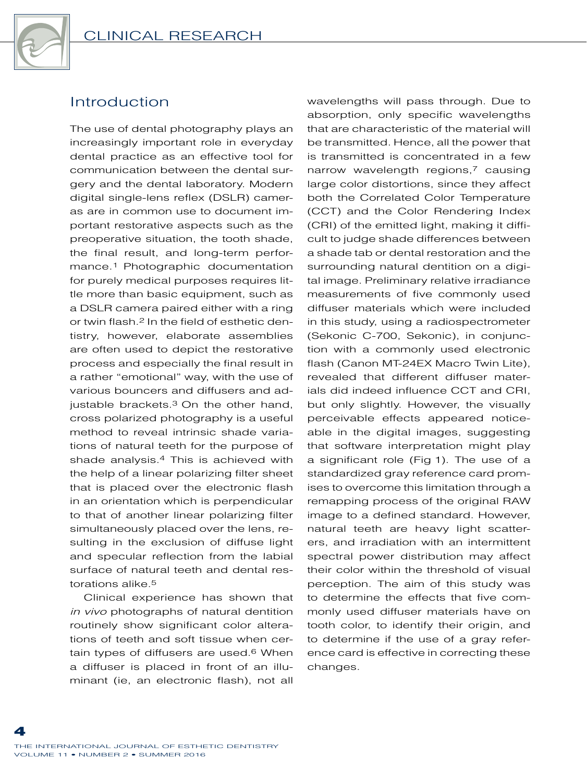

# Introduction

The use of dental photography plays an increasingly important role in everyday dental practice as an effective tool for communication between the dental surgery and the dental laboratory. Modern digital single-lens reflex (DSLR) cameras are in common use to document important restorative aspects such as the preoperative situation, the tooth shade, the final result, and long-term performance.1 Photographic documentation for purely medical purposes requires little more than basic equipment, such as a DSLR camera paired either with a ring or twin flash.2 In the field of esthetic dentistry, however, elaborate assemblies are often used to depict the restorative process and especially the final result in a rather "emotional" way, with the use of various bouncers and diffusers and adjustable brackets.<sup>3</sup> On the other hand, cross polarized photography is a useful method to reveal intrinsic shade variations of natural teeth for the purpose of shade analysis.4 This is achieved with the help of a linear polarizing filter sheet that is placed over the electronic flash in an orientation which is perpendicular to that of another linear polarizing filter simultaneously placed over the lens, resulting in the exclusion of diffuse light and specular reflection from the labial surface of natural teeth and dental restorations alike.5

Clinical experience has shown that *in vivo* photographs of natural dentition routinely show significant color alterations of teeth and soft tissue when certain types of diffusers are used.6 When a diffuser is placed in front of an illuminant (ie, an electronic flash), not all wavelengths will pass through. Due to absorption, only specific wavelengths that are characteristic of the material will be transmitted. Hence, all the power that is transmitted is concentrated in a few narrow wavelength regions,<sup>7</sup> causing large color distortions, since they affect both the Correlated Color Temperature (CCT) and the Color Rendering Index (CRI) of the emitted light, making it difficult to judge shade differences between a shade tab or dental restoration and the surrounding natural dentition on a digital image. Preliminary relative irradiance measurements of five commonly used diffuser materials which were included in this study, using a radiospectrometer (Sekonic C-700, Sekonic), in conjunction with a commonly used electronic flash (Canon MT-24EX Macro Twin Lite), revealed that different diffuser materials did indeed influence CCT and CRI, but only slightly. However, the visually perceivable effects appeared noticeable in the digital images, suggesting that software interpretation might play a significant role (Fig 1). The use of a standardized gray reference card promises to overcome this limitation through a remapping process of the original RAW image to a defined standard. However, natural teeth are heavy light scatterers, and irradiation with an intermittent spectral power distribution may affect their color within the threshold of visual perception. The aim of this study was to determine the effects that five commonly used diffuser materials have on tooth color, to identify their origin, and to determine if the use of a gray reference card is effective in correcting these changes.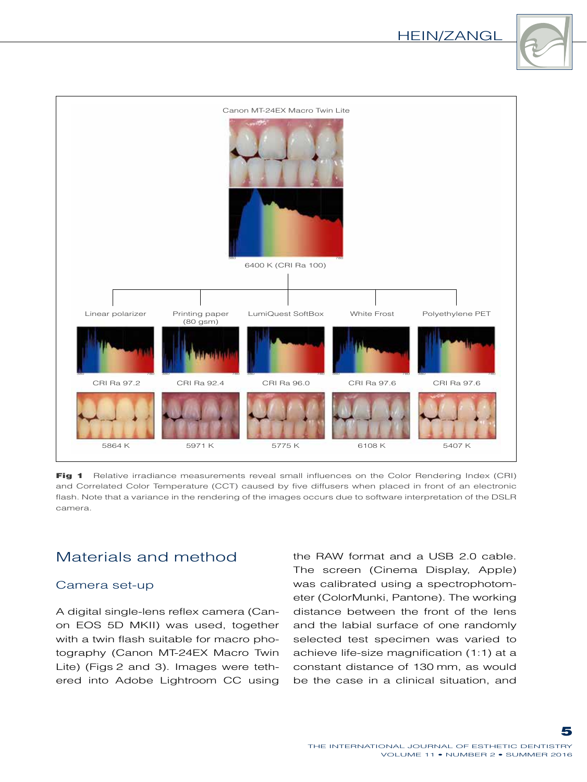### Hein/Zangl





Fig 1 Relative irradiance measurements reveal small influences on the Color Rendering Index (CRI) and Correlated Color Temperature (CCT) caused by five diffusers when placed in front of an electronic flash. Note that a variance in the rendering of the images occurs due to software interpretation of the DSLR camera.

# Materials and method

#### Camera set-up

A digital single-lens reflex camera (Canon EOS 5D MKII) was used, together with a twin flash suitable for macro photography (Canon MT-24EX Macro Twin Lite) (Figs 2 and 3). Images were tethered into Adobe Lightroom CC using the RAW format and a USB 2.0 cable. The screen (Cinema Display, Apple) was calibrated using a spectrophotometer (ColorMunki, Pantone). The working distance between the front of the lens and the labial surface of one randomly selected test specimen was varied to achieve life-size magnification (1:1) at a constant distance of 130 mm, as would be the case in a clinical situation, and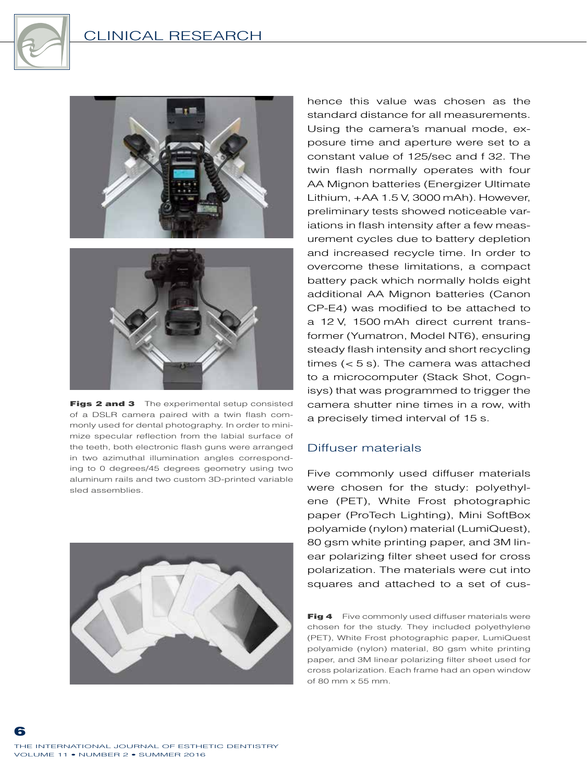

### Clinical Research



Figs 2 and 3 The experimental setup consisted of a DSLR camera paired with a twin flash commonly used for dental photography. In order to minimize specular reflection from the labial surface of the teeth, both electronic flash guns were arranged in two azimuthal illumination angles corresponding to 0 degrees/45 degrees geometry using two aluminum rails and two custom 3D-printed variable sled assemblies.



hence this value was chosen as the standard distance for all measurements. Using the camera's manual mode, exposure time and aperture were set to a constant value of 125/sec and f 32. The twin flash normally operates with four AA Mignon batteries (Energizer Ultimate Lithium, +AA 1.5 V, 3000 mAh). However, preliminary tests showed noticeable variations in flash intensity after a few measurement cycles due to battery depletion and increased recycle time. In order to overcome these limitations, a compact battery pack which normally holds eight additional AA Mignon batteries (Canon CP-E4) was modified to be attached to a 12 V, 1500 mAh direct current transformer (Yumatron, Model NT6), ensuring steady flash intensity and short recycling times (< 5 s). The camera was attached to a microcomputer (Stack Shot, Cognisys) that was programmed to trigger the camera shutter nine times in a row, with a precisely timed interval of 15 s.

#### Diffuser materials

Five commonly used diffuser materials were chosen for the study: polyethylene (PET), White Frost photographic paper (ProTech Lighting), Mini SoftBox polyamide (nylon) material (LumiQuest), 80 gsm white printing paper, and 3M linear polarizing filter sheet used for cross polarization. The materials were cut into squares and attached to a set of cus-

Fig 4 Five commonly used diffuser materials were chosen for the study. They included polyethylene (PET), White Frost photographic paper, LumiQuest polyamide (nylon) material, 80 gsm white printing paper, and 3M linear polarizing filter sheet used for cross polarization. Each frame had an open window of 80 mm x 55 mm.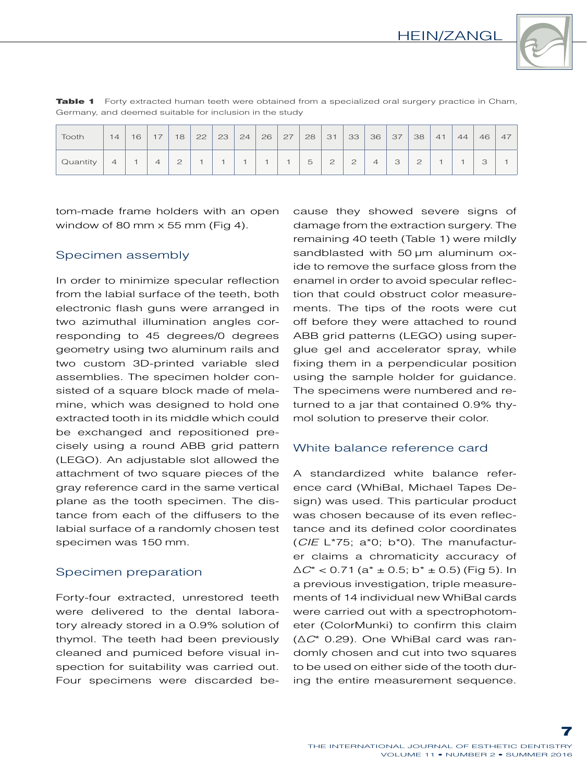

| Tooth    | 14                       | 16 | 17 | 18 | 22 | 23 | 24 | 26 | 27 | 28 | 31                    | 33                 | 36                       | 37                | 38          | 41 | 44 | 46                  | 47 |
|----------|--------------------------|----|----|----|----|----|----|----|----|----|-----------------------|--------------------|--------------------------|-------------------|-------------|----|----|---------------------|----|
| Quantity | $\overline{\mathcal{A}}$ |    | 4  | ◯  |    |    |    |    |    | 5  | $\bigcap$<br><u>_</u> | $\mathcal{D}$<br>⊂ | $\overline{\mathcal{A}}$ | $\mathbf{r}$<br>◡ | $\cap$<br>⊂ |    |    | $\supset$<br>$\cup$ |    |

**Table 1** Forty extracted human teeth were obtained from a specialized oral surgery practice in Cham, Germany, and deemed suitable for inclusion in the study

tom-made frame holders with an open window of 80 mm  $\times$  55 mm (Fig 4).

#### Specimen assembly

In order to minimize specular reflection from the labial surface of the teeth, both electronic flash guns were arranged in two azimuthal illumination angles corresponding to 45 degrees/0 degrees geometry using two aluminum rails and two custom 3D-printed variable sled assemblies. The specimen holder consisted of a square block made of melamine, which was designed to hold one extracted tooth in its middle which could be exchanged and repositioned precisely using a round ABB grid pattern (LEGO). An adjustable slot allowed the attachment of two square pieces of the gray reference card in the same vertical plane as the tooth specimen. The distance from each of the diffusers to the labial surface of a randomly chosen test specimen was 150 mm.

#### Specimen preparation

Forty-four extracted, unrestored teeth were delivered to the dental laboratory already stored in a 0.9% solution of thymol. The teeth had been previously cleaned and pumiced before visual inspection for suitability was carried out. Four specimens were discarded because they showed severe signs of damage from the extraction surgery. The remaining 40 teeth (Table 1) were mildly sandblasted with 50 um aluminum oxide to remove the surface gloss from the enamel in order to avoid specular reflection that could obstruct color measurements. The tips of the roots were cut off before they were attached to round ABB grid patterns (LEGO) using superglue gel and accelerator spray, while fixing them in a perpendicular position using the sample holder for guidance. The specimens were numbered and returned to a jar that contained 0.9% thymol solution to preserve their color.

#### White balance reference card

A standardized white balance reference card (WhiBal, Michael Tapes Design) was used. This particular product was chosen because of its even reflectance and its defined color coordinates (*CIE* L\*75; a\*0; b\*0). The manufacturer claims a chromaticity accuracy of ∆*C*\* < 0.71 (a\* ± 0.5; b\* ± 0.5) (Fig 5). In a previous investigation, triple measurements of 14 individual new WhiBal cards were carried out with a spectrophotometer (ColorMunki) to confirm this claim (∆*C*\* 0.29). One WhiBal card was randomly chosen and cut into two squares to be used on either side of the tooth during the entire measurement sequence.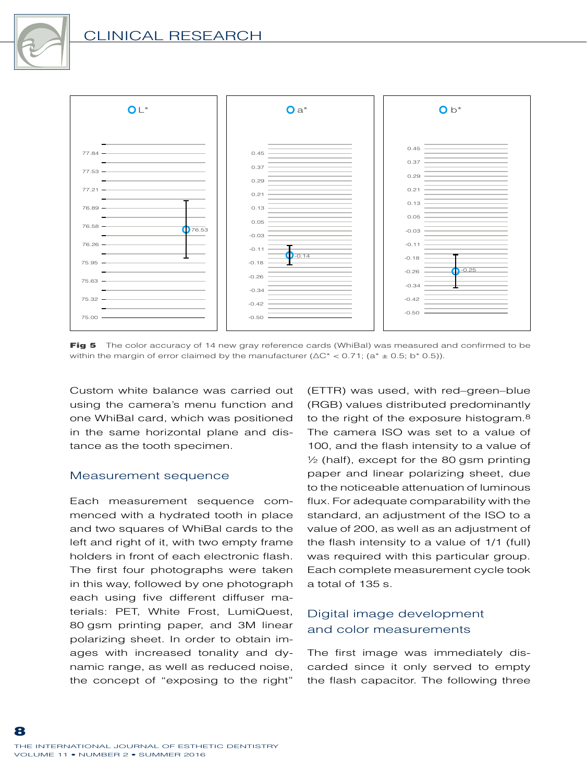# Clinical Research



Fig 5 The color accuracy of 14 new gray reference cards (WhiBal) was measured and confirmed to be within the margin of error claimed by the manufacturer ( $\Delta C^*$  < 0.71; (a<sup>\*</sup> ± 0.5; b<sup>\*</sup> 0.5)).

Custom white balance was carried out using the camera's menu function and one WhiBal card, which was positioned in the same horizontal plane and distance as the tooth specimen.

#### Measurement sequence

Each measurement sequence commenced with a hydrated tooth in place and two squares of WhiBal cards to the left and right of it, with two empty frame holders in front of each electronic flash. The first four photographs were taken in this way, followed by one photograph each using five different diffuser materials: PET, White Frost, LumiQuest, 80 gsm printing paper, and 3M linear polarizing sheet. In order to obtain images with increased tonality and dynamic range, as well as reduced noise, the concept of "exposing to the right"

(ETTR) was used, with red–green–blue (RGB) values distributed predominantly to the right of the exposure histogram.8 The camera ISO was set to a value of 100, and the flash intensity to a value of  $\frac{1}{2}$  (half), except for the 80 gsm printing paper and linear polarizing sheet, due to the noticeable attenuation of luminous flux. For adequate comparability with the standard, an adjustment of the ISO to a value of 200, as well as an adjustment of the flash intensity to a value of 1/1 (full) was required with this particular group. Each complete measurement cycle took a total of 135 s.

### Digital image development and color measurements

The first image was immediately discarded since it only served to empty the flash capacitor. The following three

8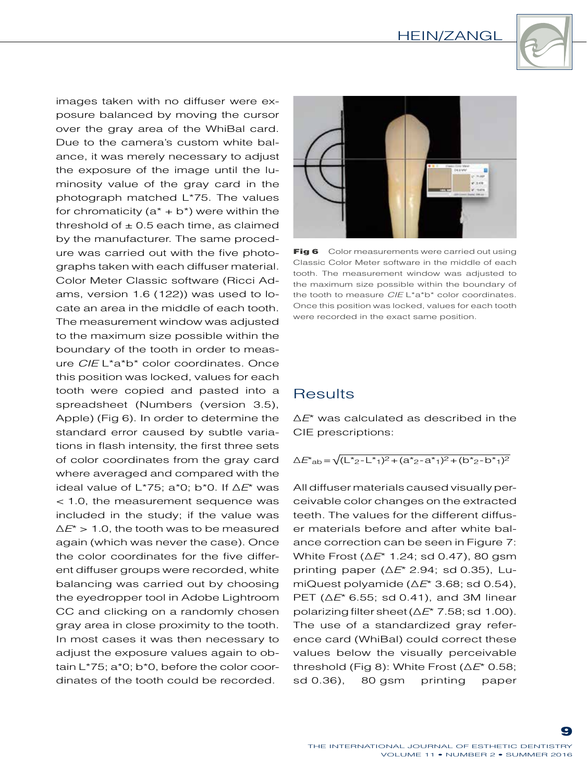

images taken with no diffuser were exposure balanced by moving the cursor over the gray area of the WhiBal card. Due to the camera's custom white balance, it was merely necessary to adjust the exposure of the image until the luminosity value of the gray card in the photograph matched L\*75. The values for chromaticity  $(a^* + b^*)$  were within the threshold of  $\pm$  0.5 each time, as claimed by the manufacturer. The same procedure was carried out with the five photographs taken with each diffuser material. Color Meter Classic software (Ricci Adams, version 1.6 (122)) was used to locate an area in the middle of each tooth. The measurement window was adjusted to the maximum size possible within the boundary of the tooth in order to measure *CIE* L\*a\*b\* color coordinates. Once this position was locked, values for each tooth were copied and pasted into a spreadsheet (Numbers (version 3.5), Apple) (Fig 6). In order to determine the standard error caused by subtle variations in flash intensity, the first three sets of color coordinates from the gray card where averaged and compared with the ideal value of L\*75; a\*0; b\*0. If ∆*E*\* was < 1.0, the measurement sequence was included in the study; if the value was ∆*E*\* > 1.0, the tooth was to be measured again (which was never the case). Once the color coordinates for the five different diffuser groups were recorded, white balancing was carried out by choosing the eyedropper tool in Adobe Lightroom CC and clicking on a randomly chosen gray area in close proximity to the tooth. In most cases it was then necessary to adjust the exposure values again to obtain L\*75; a\*0; b\*0, before the color coordinates of the tooth could be recorded.



Fig 6 Color measurements were carried out using Classic Color Meter software in the middle of each tooth. The measurement window was adjusted to the maximum size possible within the boundary of the tooth to measure *CIE* L\*a\*b\* color coordinates. Once this position was locked, values for each tooth were recorded in the exact same position.

## **Results**

∆*E*\* was calculated as described in the CIE prescriptions:

 $\Delta E^*$ <sub>ab</sub> =  $\sqrt{(\frac{L^*}{2}-\frac{L^*}{1})^2+(\frac{a^*}{2}-a^*}{1})^2+(\frac{b^*}{2}-b^*}{1})^2}$ 

All diffuser materials caused visually perceivable color changes on the extracted teeth. The values for the different diffuser materials before and after white balance correction can be seen in Figure 7: White Frost (∆*E*\* 1.24; sd 0.47), 80 gsm printing paper (∆*E*\* 2.94; sd 0.35), LumiQuest polyamide (∆*E*\* 3.68; sd 0.54), PET (∆*E*\* 6.55; sd 0.41), and 3M linear polarizing filter sheet (∆*E*\* 7.58; sd 1.00). The use of a standardized gray reference card (WhiBal) could correct these values below the visually perceivable threshold (Fig 8): White Frost (∆*E*\* 0.58; sd 0.36), 80 gsm printing paper

9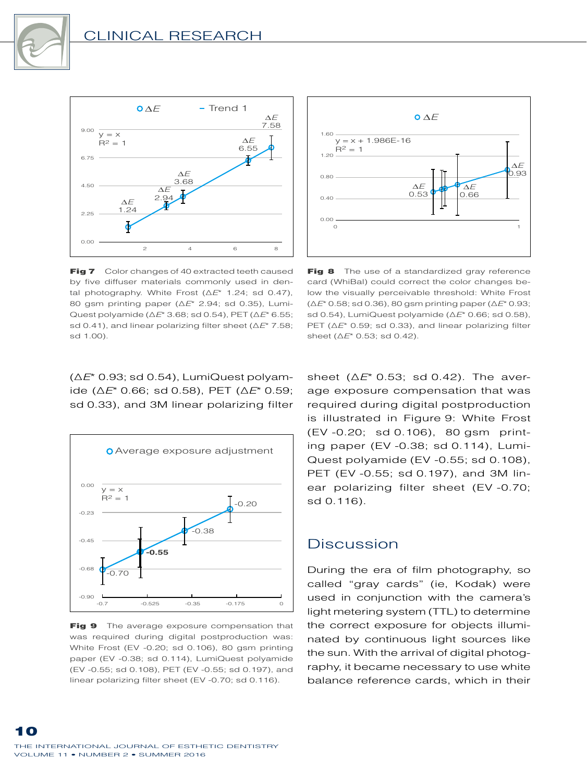



Fig 7 Color changes of 40 extracted teeth caused by five diffuser materials commonly used in dental photography. White Frost (∆*E*\* 1.24; sd 0.47), 80 gsm printing paper (∆*E*\* 2.94; sd 0.35), Lumi-Quest polyamide (∆*E*\* 3.68; sd 0.54), PET (∆*E*\* 6.55; sd 0.41), and linear polarizing filter sheet (∆*E*\* 7.58; sd 1.00).



Fig 8 The use of a standardized gray reference card (WhiBal) could correct the color changes below the visually perceivable threshold: White Frost (∆*E*\* 0.58; sd 0.36), 80 gsm printing paper (∆*E*\* 0.93; sd 0.54), LumiQuest polyamide (∆*E*\* 0.66; sd 0.58), PET ( $\Delta E^*$  0.59; sd 0.33), and linear polarizing filter sheet (∆*E*\* 0.53; sd 0.42).

(∆*E*\* 0.93; sd 0.54), LumiQuest polyamide (∆*E*\* 0.66; sd 0.58), PET (∆*E*\* 0.59; sd 0.33), and 3M linear polarizing filter



Fig 9 The average exposure compensation that was required during digital postproduction was: White Frost (EV -0.20; sd 0.106), 80 gsm printing paper (EV -0.38; sd 0.114), LumiQuest polyamide (EV -0.55; sd 0.108), PET (EV -0.55; sd 0.197), and linear polarizing filter sheet (EV -0.70; sd 0.116).

sheet (∆*E*\* 0.53; sd 0.42). The average exposure compensation that was required during digital postproduction is illustrated in Figure 9: White Frost (EV -0.20; sd 0.106), 80 gsm printing paper (EV -0.38; sd 0.114), Lumi-Quest polyamide (EV -0.55; sd 0.108), PET (EV -0.55; sd 0.197), and 3M linear polarizing filter sheet (EV -0.70; sd 0.116).

## **Discussion**

During the era of film photography, so called "gray cards" (ie, Kodak) were used in conjunction with the camera's light metering system (TTL) to determine the correct exposure for objects illuminated by continuous light sources like the sun. With the arrival of digital photography, it became necessary to use white balance reference cards, which in their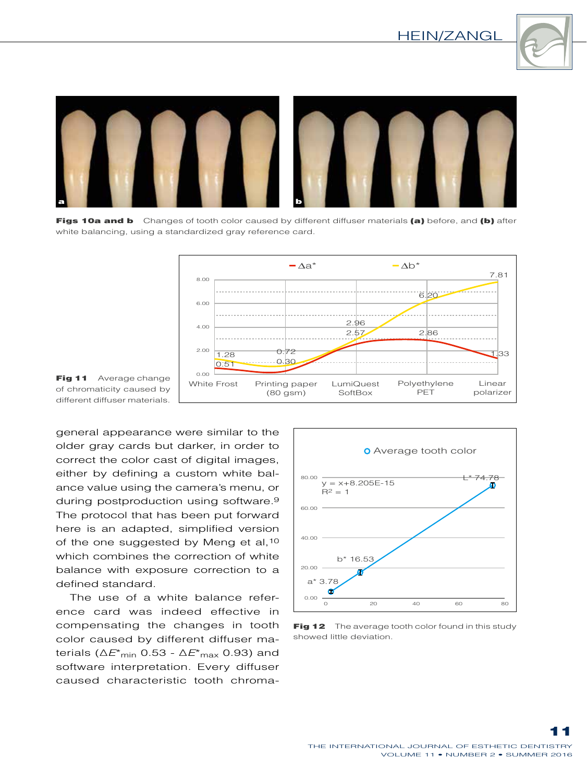



Figs 10a and b Changes of tooth color caused by different diffuser materials (a) before, and (b) after white balancing, using a standardized gray reference card.



Fig 11 Average change of chromaticity caused by different diffuser materials.

general appearance were similar to the older gray cards but darker, in order to correct the color cast of digital images, either by defining a custom white balance value using the camera's menu, or during postproduction using software.9 The protocol that has been put forward here is an adapted, simplified version of the one suggested by Meng et al, 10 which combines the correction of white balance with exposure correction to a defined standard.

The use of a white balance reference card was indeed effective in compensating the changes in tooth color caused by different diffuser materials (∆*E*\*min 0.53 - ∆*E*\*max 0.93) and software interpretation. Every diffuser caused characteristic tooth chroma-



Fig 12 The average tooth color found in this study showed little deviation.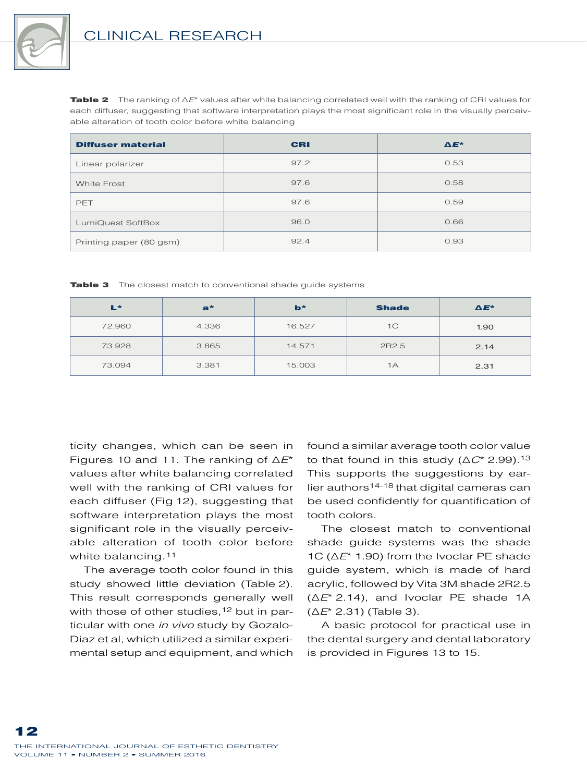

Table 2 The ranking of ∆*E*\* values after white balancing correlated well with the ranking of CRI values for each diffuser, suggesting that software interpretation plays the most significant role in the visually perceivable alteration of tooth color before white balancing

| <b>Diffuser material</b> | <b>CRI</b> | $\Delta E^*$ |
|--------------------------|------------|--------------|
| Linear polarizer         | 97.2       | 0.53         |
| <b>White Frost</b>       | 97.6       | 0.58         |
| PET                      | 97.6       | 0.59         |
| LumiQuest SoftBox        | 96.0       | 0.66         |
| Printing paper (80 gsm)  | 92.4       | 0.93         |

Table 3 The closest match to conventional shade quide systems

| L*     | $a^*$ | $b*$   | <b>Shade</b>   | $\Delta E^*$ |
|--------|-------|--------|----------------|--------------|
| 72.960 | 4.336 | 16.527 | 1 <sup>C</sup> | 1.90         |
| 73.928 | 3.865 | 14.571 | 2R2.5          | 2.14         |
| 73.094 | 3.381 | 15.003 | 1А             | 2.31         |

ticity changes, which can be seen in Figures 10 and 11. The ranking of ∆*E*\* values after white balancing correlated well with the ranking of CRI values for each diffuser (Fig 12), suggesting that software interpretation plays the most significant role in the visually perceivable alteration of tooth color before white balancing.11

The average tooth color found in this study showed little deviation (Table 2). This result corresponds generally well with those of other studies,<sup>12</sup> but in particular with one *in vivo* study by Gozalo-Diaz et al, which utilized a similar experimental setup and equipment, and which

found a similar average tooth color value to that found in this study (∆*C*\* 2.99).13 This supports the suggestions by earlier authors14-18 that digital cameras can be used confidently for quantification of tooth colors.

The closest match to conventional shade guide systems was the shade 1C (∆*E*\* 1.90) from the Ivoclar PE shade guide system, which is made of hard acrylic, followed by Vita 3M shade 2R2.5 (∆*E*\* 2.14), and Ivoclar PE shade 1A (∆*E*\* 2.31) (Table 3).

A basic protocol for practical use in the dental surgery and dental laboratory is provided in Figures 13 to 15.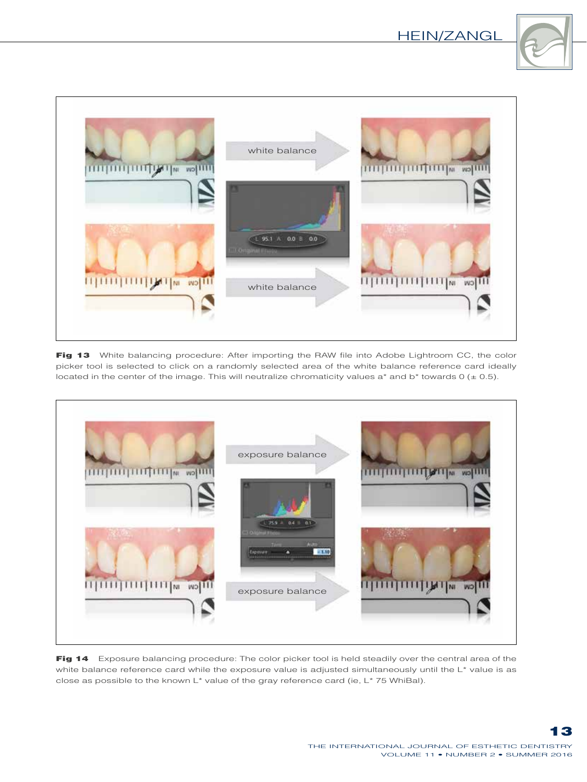



Fig 13 White balancing procedure: After importing the RAW file into Adobe Lightroom CC, the color picker tool is selected to click on a randomly selected area of the white balance reference card ideally located in the center of the image. This will neutralize chromaticity values  $a^*$  and  $b^*$  towards 0 ( $\pm$  0.5).



Fig 14 Exposure balancing procedure: The color picker tool is held steadily over the central area of the white balance reference card while the exposure value is adjusted simultaneously until the L\* value is as close as possible to the known L\* value of the gray reference card (ie, L\* 75 WhiBal).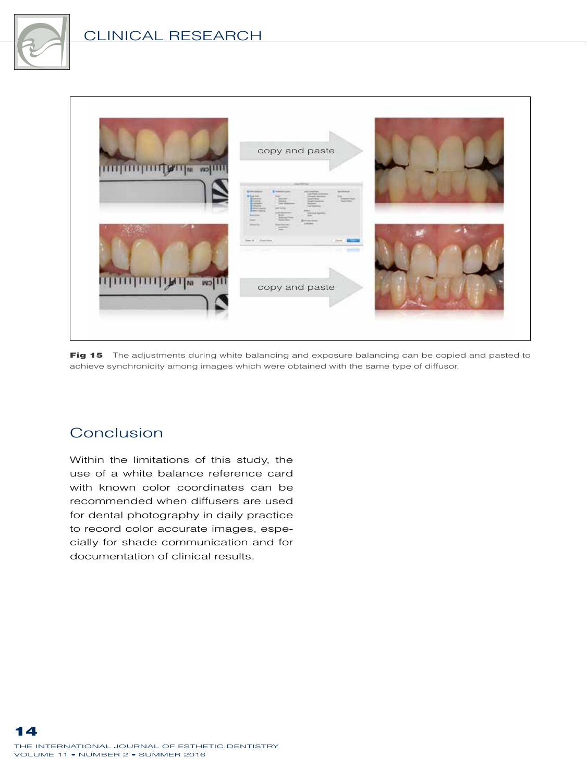



Fig 15 The adjustments during white balancing and exposure balancing can be copied and pasted to achieve synchronicity among images which were obtained with the same type of diffusor.

# Conclusion

Within the limitations of this study, the use of a white balance reference card with known color coordinates can be recommended when diffusers are used for dental photography in daily practice to record color accurate images, especially for shade communication and for documentation of clinical results.